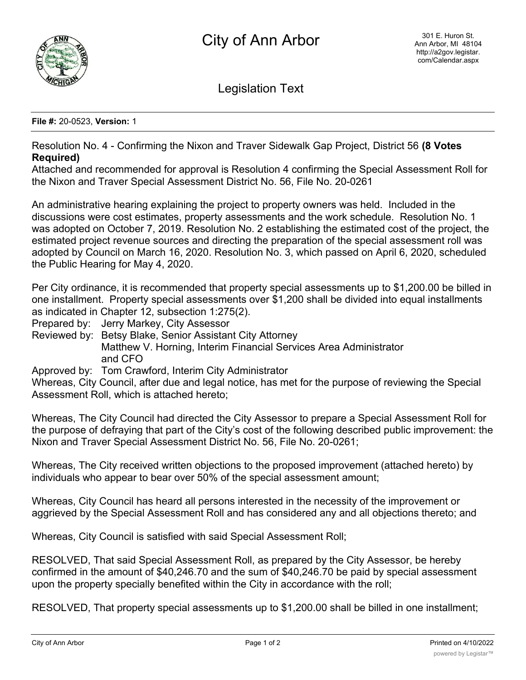

Legislation Text

**File #:** 20-0523, **Version:** 1

Resolution No. 4 - Confirming the Nixon and Traver Sidewalk Gap Project, District 56 **(8 Votes Required)**

Attached and recommended for approval is Resolution 4 confirming the Special Assessment Roll for the Nixon and Traver Special Assessment District No. 56, File No. 20-0261

An administrative hearing explaining the project to property owners was held. Included in the discussions were cost estimates, property assessments and the work schedule. Resolution No. 1 was adopted on October 7, 2019. Resolution No. 2 establishing the estimated cost of the project, the estimated project revenue sources and directing the preparation of the special assessment roll was adopted by Council on March 16, 2020. Resolution No. 3, which passed on April 6, 2020, scheduled the Public Hearing for May 4, 2020.

Per City ordinance, it is recommended that property special assessments up to \$1,200.00 be billed in one installment. Property special assessments over \$1,200 shall be divided into equal installments as indicated in Chapter 12, subsection 1:275(2).

Prepared by: Jerry Markey, City Assessor

Reviewed by: Betsy Blake, Senior Assistant City Attorney Matthew V. Horning, Interim Financial Services Area Administrator and CFO

Approved by: Tom Crawford, Interim City Administrator

Whereas, City Council, after due and legal notice, has met for the purpose of reviewing the Special Assessment Roll, which is attached hereto;

Whereas, The City Council had directed the City Assessor to prepare a Special Assessment Roll for the purpose of defraying that part of the City's cost of the following described public improvement: the Nixon and Traver Special Assessment District No. 56, File No. 20-0261;

Whereas, The City received written objections to the proposed improvement (attached hereto) by individuals who appear to bear over 50% of the special assessment amount;

Whereas, City Council has heard all persons interested in the necessity of the improvement or aggrieved by the Special Assessment Roll and has considered any and all objections thereto; and

Whereas, City Council is satisfied with said Special Assessment Roll;

RESOLVED, That said Special Assessment Roll, as prepared by the City Assessor, be hereby confirmed in the amount of \$40,246.70 and the sum of \$40,246.70 be paid by special assessment upon the property specially benefited within the City in accordance with the roll;

RESOLVED, That property special assessments up to \$1,200.00 shall be billed in one installment;